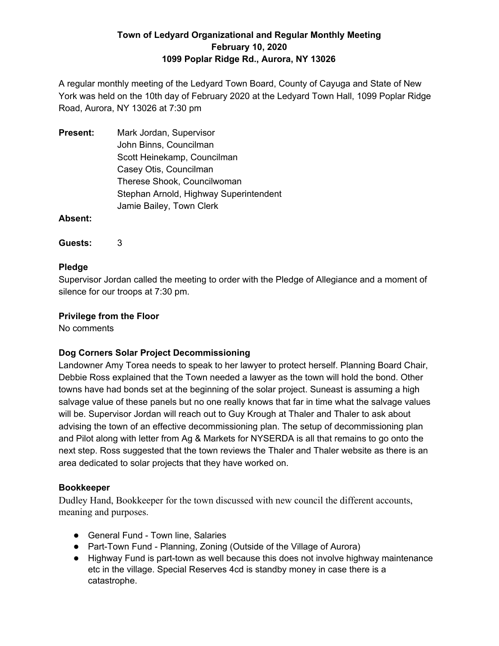A regular monthly meeting of the Ledyard Town Board, County of Cayuga and State of New York was held on the 10th day of February 2020 at the Ledyard Town Hall, 1099 Poplar Ridge Road, Aurora, NY 13026 at 7:30 pm

**Present:** Mark Jordan, Supervisor John Binns, Councilman Scott Heinekamp, Councilman Casey Otis, Councilman Therese Shook, Councilwoman Stephan Arnold, Highway Superintendent Jamie Bailey, Town Clerk

**Absent:**

**Guests:** 3

## **Pledge**

Supervisor Jordan called the meeting to order with the Pledge of Allegiance and a moment of silence for our troops at 7:30 pm.

## **Privilege from the Floor**

No comments

# **Dog Corners Solar Project Decommissioning**

Landowner Amy Torea needs to speak to her lawyer to protect herself. Planning Board Chair, Debbie Ross explained that the Town needed a lawyer as the town will hold the bond. Other towns have had bonds set at the beginning of the solar project. Suneast is assuming a high salvage value of these panels but no one really knows that far in time what the salvage values will be. Supervisor Jordan will reach out to Guy Krough at Thaler and Thaler to ask about advising the town of an effective decommissioning plan. The setup of decommissioning plan and Pilot along with letter from Ag & Markets for NYSERDA is all that remains to go onto the next step. Ross suggested that the town reviews the Thaler and Thaler website as there is an area dedicated to solar projects that they have worked on.

## **Bookkeeper**

Dudley Hand, Bookkeeper for the town discussed with new council the different accounts, meaning and purposes.

- General Fund Town line, Salaries
- Part-Town Fund Planning, Zoning (Outside of the Village of Aurora)
- Highway Fund is part-town as well because this does not involve highway maintenance etc in the village. Special Reserves 4cd is standby money in case there is a catastrophe.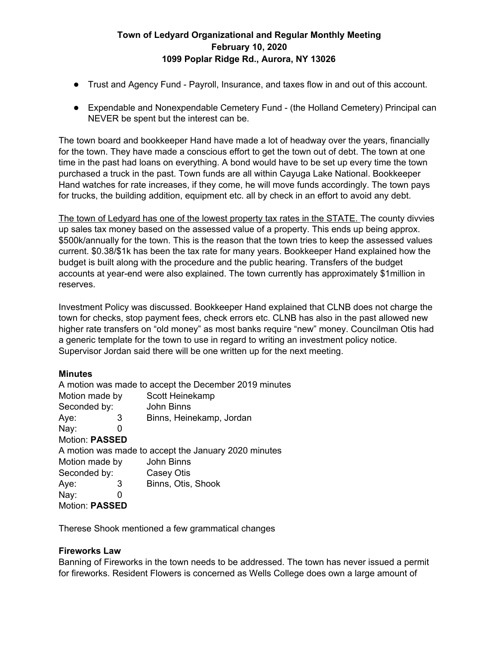- Trust and Agency Fund Payroll, Insurance, and taxes flow in and out of this account.
- Expendable and Nonexpendable Cemetery Fund (the Holland Cemetery) Principal can NEVER be spent but the interest can be.

The town board and bookkeeper Hand have made a lot of headway over the years, financially for the town. They have made a conscious effort to get the town out of debt. The town at one time in the past had loans on everything. A bond would have to be set up every time the town purchased a truck in the past. Town funds are all within Cayuga Lake National. Bookkeeper Hand watches for rate increases, if they come, he will move funds accordingly. The town pays for trucks, the building addition, equipment etc. all by check in an effort to avoid any debt.

The town of Ledyard has one of the lowest property tax rates in the STATE. The county divvies up sales tax money based on the assessed value of a property. This ends up being approx. \$500k/annually for the town. This is the reason that the town tries to keep the assessed values current. \$0.38/\$1k has been the tax rate for many years. Bookkeeper Hand explained how the budget is built along with the procedure and the public hearing. Transfers of the budget accounts at year-end were also explained. The town currently has approximately \$1million in reserves.

Investment Policy was discussed. Bookkeeper Hand explained that CLNB does not charge the town for checks, stop payment fees, check errors etc. CLNB has also in the past allowed new higher rate transfers on "old money" as most banks require "new" money. Councilman Otis had a generic template for the town to use in regard to writing an investment policy notice. Supervisor Jordan said there will be one written up for the next meeting.

#### **Minutes**

| A motion was made to accept the December 2019 minutes |
|-------------------------------------------------------|
| Scott Heinekamp                                       |
| John Binns                                            |
| Binns, Heinekamp, Jordan                              |
|                                                       |
|                                                       |
| A motion was made to accept the January 2020 minutes  |
| John Binns                                            |
| Casey Otis                                            |
| Binns, Otis, Shook                                    |
|                                                       |
|                                                       |
|                                                       |

Therese Shook mentioned a few grammatical changes

## **Fireworks Law**

Banning of Fireworks in the town needs to be addressed. The town has never issued a permit for fireworks. Resident Flowers is concerned as Wells College does own a large amount of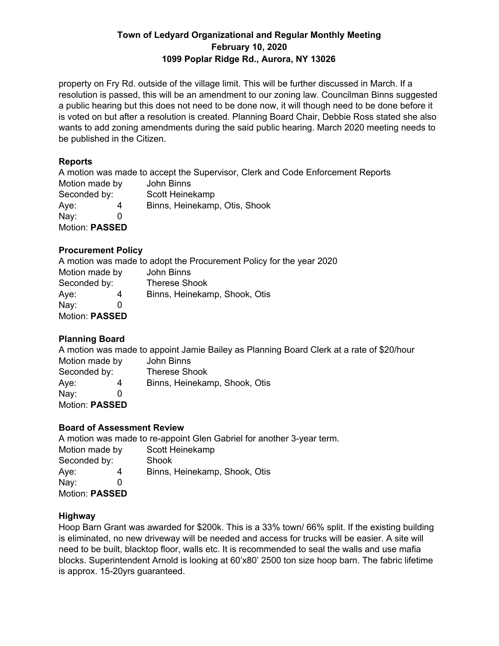property on Fry Rd. outside of the village limit. This will be further discussed in March. If a resolution is passed, this will be an amendment to our zoning law. Councilman Binns suggested a public hearing but this does not need to be done now, it will though need to be done before it is voted on but after a resolution is created. Planning Board Chair, Debbie Ross stated she also wants to add zoning amendments during the said public hearing. March 2020 meeting needs to be published in the Citizen.

## **Reports**

A motion was made to accept the Supervisor, Clerk and Code Enforcement Reports Motion made by John Binns Seconded by: Scott Heinekamp Aye: 4 Binns, Heinekamp, Otis, Shook Nay: 0 Motion: **PASSED**

## **Procurement Policy**

A motion was made to adopt the Procurement Policy for the year 2020 Motion made by John Binns Seconded by: Therese Shook Aye: 4 Binns, Heinekamp, Shook, Otis Nay: 0 Motion: **PASSED**

# **Planning Board**

A motion was made to appoint Jamie Bailey as Planning Board Clerk at a rate of \$20/hour Motion made by John Binns

Seconded by: Therese Shook Aye: 4 Binns, Heinekamp, Shook, Otis Nay: 0 Motion: **PASSED**

# **Board of Assessment Review**

A motion was made to re-appoint Glen Gabriel for another 3-year term. Motion made by Scott Heinekamp Seconded by: Shook Aye: 4 Binns, Heinekamp, Shook, Otis Nay: 0 Motion: **PASSED**

## **Highway**

Hoop Barn Grant was awarded for \$200k. This is a 33% town/ 66% split. If the existing building is eliminated, no new driveway will be needed and access for trucks will be easier. A site will need to be built, blacktop floor, walls etc. It is recommended to seal the walls and use mafia blocks. Superintendent Arnold is looking at 60'x80' 2500 ton size hoop barn. The fabric lifetime is approx. 15-20yrs guaranteed.